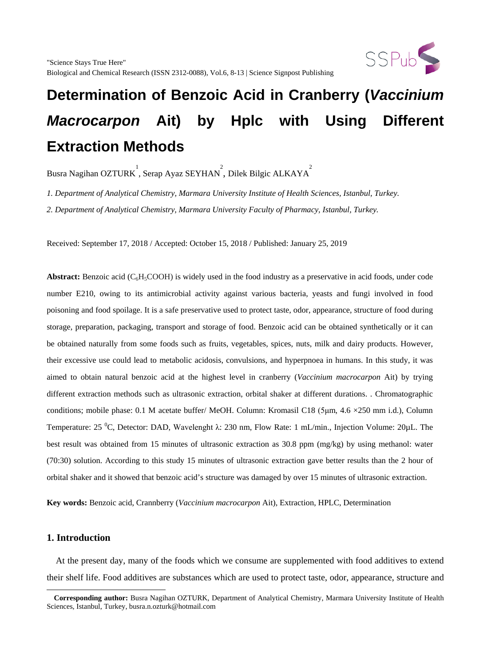

Busra Nagihan OZTURK  $\overline{\phantom{a}}$ , Serap Ayaz SEYHAN  $\overline{\phantom{a}}$ , Dilek Bilgic ALKAYA

*1. Department of Analytical Chemistry, Marmara University Institute of Health Sciences, Istanbul, Turkey.*

*2. Department of Analytical Chemistry, Marmara University Faculty of Pharmacy, Istanbul, Turkey.*

Received: September 17, 2018 / Accepted: October 15, 2018 / Published: January 25, 2019

**Abstract:** Benzoic acid ( $C_6H_5COOH$ ) is widely used in the food industry as a preservative in acid foods, under code number E210, owing to its antimicrobial activity against various bacteria, yeasts and fungi involved in food poisoning and food spoilage. It is a safe preservative used to protect taste, odor, appearance, structure of food during storage, preparation, packaging, transport and storage of food. Benzoic acid can be obtained synthetically or it can be obtained naturally from some foods such as fruits, vegetables, spices, nuts, milk and dairy products. However, their excessive use could lead to metabolic acidosis, convulsions, and hyperpnoea in humans. In this study, it was aimed to obtain natural benzoic acid at the highest level in cranberry (*Vaccinium macrocarpon* Ait) by trying different extraction methods such as ultrasonic extraction, orbital shaker at different durations. . Chromatographic conditions; mobile phase: 0.1 M acetate buffer/ MeOH. Column: Kromasil C18 (5μm, 4.6 ×250 mm i.d.), Column Temperature: 25 <sup>o</sup>C, Detector: DAD, Wavelenght  $\lambda$ : 230 nm, Flow Rate: 1 mL/min., Injection Volume: 20µL. The best result was obtained from 15 minutes of ultrasonic extraction as 30.8 ppm (mg/kg) by using methanol: water (70:30) solution. According to this study 15 minutes of ultrasonic extraction gave better results than the 2 hour of orbital shaker and it showed that benzoic acid's structure was damaged by over 15 minutes of ultrasonic extraction.

**Key words:** Benzoic acid, Crannberry (*Vaccinium macrocarpon* Ait), Extraction, HPLC, Determination

#### **1. Introduction**

 $\overline{a}$ 

 At the present day, many of the foods which we consume are supplemented with food additives to extend their shelf life. Food additives are substances which are used to protect taste, odor, appearance, structure and

<span id="page-0-0"></span>**Corresponding author:** Busra Nagihan OZTURK, Department of Analytical Chemistry, Marmara University Institute of Health Sciences, Istanbul, Turkey, busra.n.ozturk@hotmail.com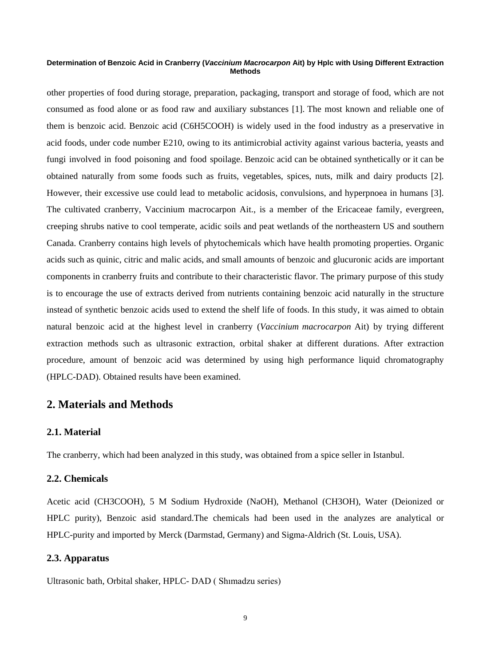other properties of food during storage, preparation, packaging, transport and storage of food, which are not consumed as food alone or as food raw and auxiliary substances [1]. The most known and reliable one of them is benzoic acid. Benzoic acid (C6H5COOH) is widely used in the food industry as a preservative in acid foods, under code number E210, owing to its antimicrobial activity against various bacteria, yeasts and fungi involved in food poisoning and food spoilage. Benzoic acid can be obtained synthetically or it can be obtained naturally from some foods such as fruits, vegetables, spices, nuts, milk and dairy products [2]. However, their excessive use could lead to metabolic acidosis, convulsions, and hyperpnoea in humans [3]. The cultivated cranberry, Vaccinium macrocarpon Ait., is a member of the Ericaceae family, evergreen, creeping shrubs native to cool temperate, acidic soils and peat wetlands of the northeastern US and southern Canada. Cranberry contains high levels of phytochemicals which have health promoting properties. Organic acids such as quinic, citric and malic acids, and small amounts of benzoic and glucuronic acids are important components in cranberry fruits and contribute to their characteristic flavor. The primary purpose of this study is to encourage the use of extracts derived from nutrients containing benzoic acid naturally in the structure instead of synthetic benzoic acids used to extend the shelf life of foods. In this study, it was aimed to obtain natural benzoic acid at the highest level in cranberry (*Vaccinium macrocarpon* Ait) by trying different extraction methods such as ultrasonic extraction, orbital shaker at different durations. After extraction procedure, amount of benzoic acid was determined by using high performance liquid chromatography (HPLC-DAD). Obtained results have been examined.

# **2. Materials and Methods**

## **2.1. Material**

The cranberry, which had been analyzed in this study, was obtained from a spice seller in Istanbul.

## **2.2. Chemicals**

Acetic acid (CH3COOH), 5 M Sodium Hydroxide (NaOH), Methanol (CH3OH), Water (Deionized or HPLC purity), Benzoic asid standard.The chemicals had been used in the analyzes are analytical or HPLC-purity and imported by Merck (Darmstad, Germany) and Sigma-Aldrich (St. Louis, USA).

#### **2.3. Apparatus**

Ultrasonic bath, Orbital shaker, HPLC- DAD ( Shımadzu series)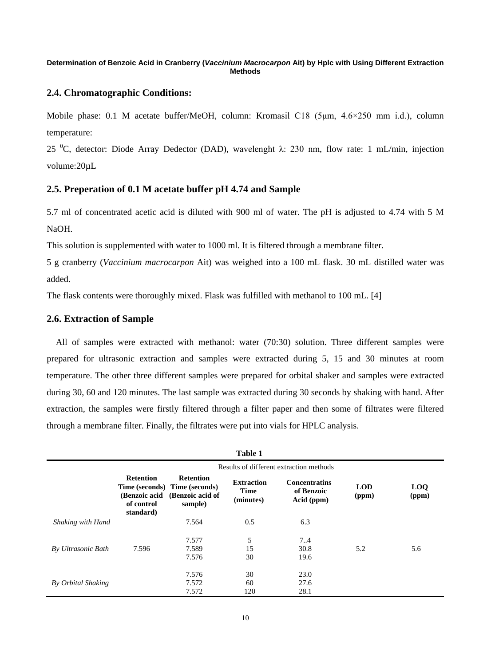#### **2.4. Chromatographic Conditions:**

Mobile phase: 0.1 M acetate buffer/MeOH, column: Kromasil C18 (5um, 4.6×250 mm i.d.), column temperature:

25 <sup>o</sup>C, detector: Diode Array Dedector (DAD), wavelenght  $\lambda$ : 230 nm, flow rate: 1 mL/min, injection volume:20µL

## **2.5. Preperation of 0.1 M acetate buffer pH 4.74 and Sample**

5.7 ml of concentrated acetic acid is diluted with 900 ml of water. The pH is adjusted to 4.74 with 5 M NaOH.

This solution is supplemented with water to 1000 ml. It is filtered through a membrane filter.

5 g cranberry (*Vaccinium macrocarpon* Ait) was weighed into a 100 mL flask. 30 mL distilled water was added.

The flask contents were thoroughly mixed. Flask was fulfilled with methanol to 100 mL. [4]

#### **2.6. Extraction of Sample**

 All of samples were extracted with methanol: water (70:30) solution. Three different samples were prepared for ultrasonic extraction and samples were extracted during 5, 15 and 30 minutes at room temperature. The other three different samples were prepared for orbital shaker and samples were extracted during 30, 60 and 120 minutes. The last sample was extracted during 30 seconds by shaking with hand. After extraction, the samples were firstly filtered through a filter paper and then some of filtrates were filtered through a membrane filter. Finally, the filtrates were put into vials for HPLC analysis.

| Table 1                  |                                                              |                                                                                  |                                               |                                                  |                     |                     |
|--------------------------|--------------------------------------------------------------|----------------------------------------------------------------------------------|-----------------------------------------------|--------------------------------------------------|---------------------|---------------------|
|                          | Results of different extraction methods                      |                                                                                  |                                               |                                                  |                     |                     |
|                          | <b>Retention</b><br>(Benzoic acid<br>of control<br>standard) | <b>Retention</b><br>Time (seconds) Time (seconds)<br>(Benzoic acid of<br>sample) | <b>Extraction</b><br><b>Time</b><br>(minutes) | <b>Concentratins</b><br>of Benzoic<br>Acid (ppm) | <b>LOD</b><br>(ppm) | <b>LOQ</b><br>(ppm) |
| <b>Shaking with Hand</b> |                                                              | 7.564                                                                            | 0.5                                           | 6.3                                              |                     |                     |
| By Ultrasonic Bath       | 7.596                                                        | 7.577<br>7.589<br>7.576                                                          | 5<br>15<br>30                                 | 7.4<br>30.8<br>19.6                              | 5.2                 | 5.6                 |
| By Orbital Shaking       |                                                              | 7.576<br>7.572<br>7.572                                                          | 30<br>60<br>120                               | 23.0<br>27.6<br>28.1                             |                     |                     |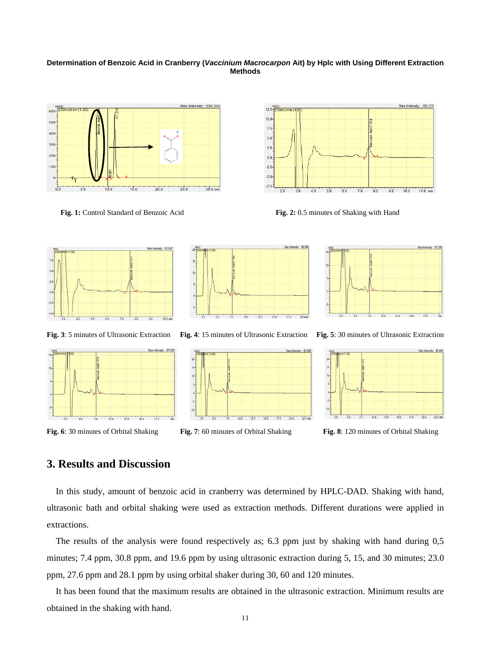



 **Fig. 1:** Control Standard of Benzoic Acid **Fig. 2:** 0.5 minutes of Shaking with Hand









**Fig. 6**: 30 minutes of Orbital Shaking **Fig. 7**: 60 minutes of Orbital Shaking **Fig. 8**: 120 minutes of Orbital Shaking



**Fig. 3**: 5 minutes of Ultrasonic Extraction **Fig. 4**: 15 minutes of Ultrasonic Extraction **Fig. 5**: 30 minutes of Ultrasonic Extraction





# **3. Results and Discussion**

 In this study, amount of benzoic acid in cranberry was determined by HPLC-DAD. Shaking with hand, ultrasonic bath and orbital shaking were used as extraction methods. Different durations were applied in extractions.

 The results of the analysis were found respectively as; 6.3 ppm just by shaking with hand during 0,5 minutes; 7.4 ppm, 30.8 ppm, and 19.6 ppm by using ultrasonic extraction during 5, 15, and 30 minutes; 23.0 ppm, 27.6 ppm and 28.1 ppm by using orbital shaker during 30, 60 and 120 minutes.

 It has been found that the maximum results are obtained in the ultrasonic extraction. Minimum results are obtained in the shaking with hand.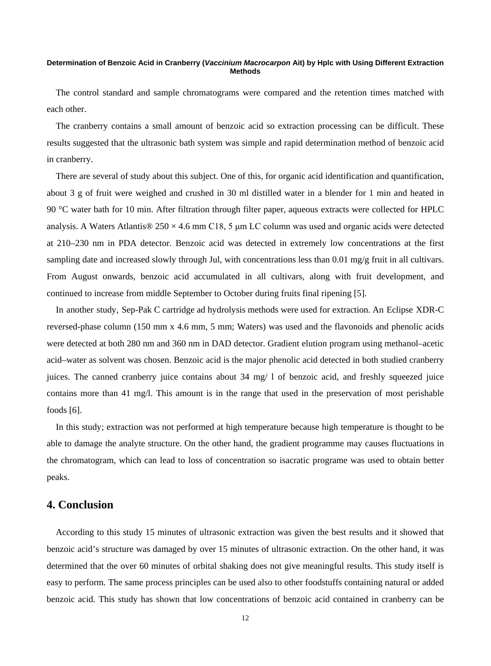The control standard and sample chromatograms were compared and the retention times matched with each other.

 The cranberry contains a small amount of benzoic acid so extraction processing can be difficult. These results suggested that the ultrasonic bath system was simple and rapid determination method of benzoic acid in cranberry.

There are several of study about this subject. One of this, for organic acid identification and quantification, about 3 g of fruit were weighed and crushed in 30 ml distilled water in a blender for 1 min and heated in 90 °C water bath for 10 min. After filtration through filter paper, aqueous extracts were collected for HPLC analysis. A Waters Atlantis®  $250 \times 4.6$  mm C18, 5 µm LC column was used and organic acids were detected at 210–230 nm in PDA detector. Benzoic acid was detected in extremely low concentrations at the first sampling date and increased slowly through Jul, with concentrations less than 0.01 mg/g fruit in all cultivars. From August onwards, benzoic acid accumulated in all cultivars, along with fruit development, and continued to increase from middle September to October during fruits final ripening [5].

 In another study, Sep-Pak C cartridge ad hydrolysis methods were used for extraction. An Eclipse XDR-C reversed-phase column (150 mm x 4.6 mm, 5 mm; Waters) was used and the flavonoids and phenolic acids were detected at both 280 nm and 360 nm in DAD detector. Gradient elution program using methanol–acetic acid–water as solvent was chosen. Benzoic acid is the major phenolic acid detected in both studied cranberry juices. The canned cranberry juice contains about 34 mg/ l of benzoic acid, and freshly squeezed juice contains more than 41 mg/l. This amount is in the range that used in the preservation of most perishable foods [6].

 In this study; extraction was not performed at high temperature because high temperature is thought to be able to damage the analyte structure. On the other hand, the gradient programme may causes fluctuations in the chromatogram, which can lead to loss of concentration so isacratic programe was used to obtain better peaks.

# **4. Conclusion**

 According to this study 15 minutes of ultrasonic extraction was given the best results and it showed that benzoic acid's structure was damaged by over 15 minutes of ultrasonic extraction. On the other hand, it was determined that the over 60 minutes of orbital shaking does not give meaningful results. This study itself is easy to perform. The same process principles can be used also to other foodstuffs containing natural or added benzoic acid. This study has shown that low concentrations of benzoic acid contained in cranberry can be